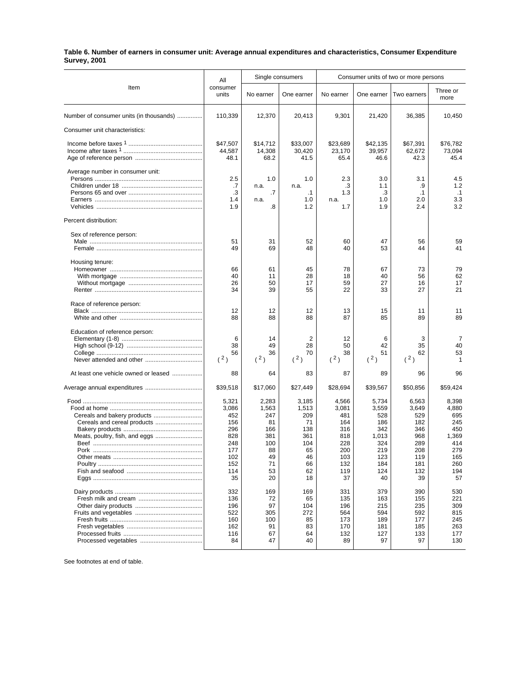## **Table 6. Number of earners in consumer unit: Average annual expenditures and characteristics, Consumer Expenditure Survey, 2001**

|                                                            | All                                                                                 | Single consumers                                                               |                                                                                | Consumer units of two or more persons                                               |                                                                                       |                                                                                     |                                                                                       |
|------------------------------------------------------------|-------------------------------------------------------------------------------------|--------------------------------------------------------------------------------|--------------------------------------------------------------------------------|-------------------------------------------------------------------------------------|---------------------------------------------------------------------------------------|-------------------------------------------------------------------------------------|---------------------------------------------------------------------------------------|
| Item                                                       | consumer<br>units                                                                   | No earner                                                                      | One earner                                                                     | No earner                                                                           | One earner                                                                            | Two earners                                                                         | Three or<br>more                                                                      |
| Number of consumer units (in thousands)                    | 110,339                                                                             | 12,370                                                                         | 20,413                                                                         | 9,301                                                                               | 21,420                                                                                | 36,385                                                                              | 10,450                                                                                |
| Consumer unit characteristics:                             |                                                                                     |                                                                                |                                                                                |                                                                                     |                                                                                       |                                                                                     |                                                                                       |
|                                                            | \$47,507<br>44,587<br>48.1                                                          | \$14,712<br>14,308<br>68.2                                                     | \$33,007<br>30,420<br>41.5                                                     | \$23,689<br>23,170<br>65.4                                                          | \$42,135<br>39,957<br>46.6                                                            | \$67,391<br>62,672<br>42.3                                                          | \$76,782<br>73,094<br>45.4                                                            |
| Average number in consumer unit:                           | 2.5<br>.7<br>.3<br>1.4                                                              | 1.0<br>n.a.<br>$\cdot$ 7<br>n.a.                                               | 1.0<br>n.a.<br>$\cdot$ 1<br>1.0                                                | 2.3<br>.3<br>1.3<br>n.a.                                                            | 3.0<br>1.1<br>.3<br>1.0                                                               | 3.1<br>.9<br>$\cdot$ 1<br>2.0                                                       | 4.5<br>1.2<br>$\cdot$ 1<br>3.3                                                        |
|                                                            | 1.9                                                                                 | .8                                                                             | 1.2                                                                            | 1.7                                                                                 | 1.9                                                                                   | 2.4                                                                                 | 3.2                                                                                   |
| Percent distribution:                                      |                                                                                     |                                                                                |                                                                                |                                                                                     |                                                                                       |                                                                                     |                                                                                       |
| Sex of reference person:                                   | 51<br>49                                                                            | 31<br>69                                                                       | 52<br>48                                                                       | 60<br>40                                                                            | 47<br>53                                                                              | 56<br>44                                                                            | 59<br>41                                                                              |
| Housing tenure:                                            | 66<br>40<br>26<br>34                                                                | 61<br>11<br>50<br>39                                                           | 45<br>28<br>17<br>55                                                           | 78<br>18<br>59<br>22                                                                | 67<br>40<br>27<br>33                                                                  | 73<br>56<br>16<br>27                                                                | 79<br>62<br>17<br>21                                                                  |
| Race of reference person:                                  | 12<br>88                                                                            | 12<br>88                                                                       | 12<br>88                                                                       | 13<br>87                                                                            | 15<br>85                                                                              | 11<br>89                                                                            | 11<br>89                                                                              |
| Education of reference person:<br>Never attended and other | 6<br>38<br>56<br>(2)                                                                | 14<br>49<br>36<br>(2)                                                          | 2<br>28<br>70<br>(2)                                                           | 12<br>50<br>38<br>(2)                                                               | 6<br>42<br>51<br>(2)                                                                  | 3<br>35<br>62<br>(2)                                                                | 7<br>40<br>53<br>1                                                                    |
| At least one vehicle owned or leased                       | 88                                                                                  | 64                                                                             | 83                                                                             | 87                                                                                  | 89                                                                                    | 96                                                                                  | 96                                                                                    |
|                                                            | \$39,518                                                                            | \$17,060                                                                       | \$27,449                                                                       | \$28,694                                                                            | \$39,567                                                                              | \$50,856                                                                            | \$59,424                                                                              |
| Meats, poultry, fish, and eggs                             | 5,321<br>3,086<br>452<br>156<br>296<br>828<br>248<br>177<br>102<br>152<br>114<br>35 | 2,283<br>1,563<br>247<br>81<br>166<br>381<br>100<br>88<br>49<br>71<br>53<br>20 | 3,185<br>1,513<br>209<br>71<br>138<br>361<br>104<br>65<br>46<br>66<br>62<br>18 | 4,566<br>3,081<br>481<br>164<br>316<br>818<br>228<br>200<br>103<br>132<br>119<br>37 | 5,734<br>3,559<br>528<br>186<br>342<br>1,013<br>324<br>219<br>123<br>184<br>124<br>40 | 6,563<br>3,649<br>529<br>182<br>346<br>968<br>289<br>208<br>119<br>181<br>132<br>39 | 8,398<br>4,880<br>695<br>245<br>450<br>1,369<br>414<br>279<br>165<br>260<br>194<br>57 |
|                                                            | 332<br>136<br>196<br>522<br>160<br>162<br>116<br>84                                 | 169<br>72<br>97<br>305<br>100<br>91<br>67<br>47                                | 169<br>65<br>104<br>272<br>85<br>83<br>64<br>40                                | 331<br>135<br>196<br>564<br>173<br>170<br>132<br>89                                 | 379<br>163<br>215<br>594<br>189<br>181<br>127<br>97                                   | 390<br>155<br>235<br>592<br>177<br>185<br>133<br>97                                 | 530<br>221<br>309<br>815<br>245<br>263<br>177<br>130                                  |

See footnotes at end of table.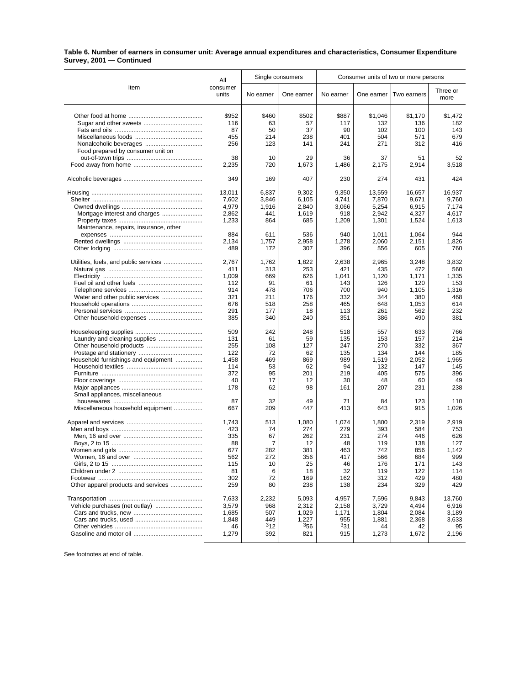## **Table 6. Number of earners in consumer unit: Average annual expenditures and characteristics, Consumer Expenditure Survey, 2001 — Continued**

|                                        | Single consumers<br>All |           | Consumer units of two or more persons |            |            |             |                  |
|----------------------------------------|-------------------------|-----------|---------------------------------------|------------|------------|-------------|------------------|
| Item                                   | consumer<br>units       | No earner | One earner                            | No earner  | One earner | Two earners | Three or<br>more |
|                                        | \$952                   | \$460     | \$502                                 | \$887      | \$1,046    | \$1,170     | \$1,472          |
|                                        | 116                     | 63        | 57                                    | 117        | 132        | 136         | 182              |
|                                        | 87                      | 50        | 37                                    | 90         | 102        | 100         | 143              |
|                                        | 455                     | 214       | 238                                   | 401        | 504        | 571         | 679              |
|                                        | 256                     | 123       | 141                                   | 241        | 271        | 312         | 416              |
|                                        |                         |           |                                       |            |            |             |                  |
| Food prepared by consumer unit on      | 38                      | 10        | 29                                    | 36         | 37         | 51          | 52               |
|                                        | 2,235                   | 720       | 1,673                                 | 1,486      | 2,175      | 2,914       | 3,518            |
|                                        | 349                     | 169       | 407                                   | 230        | 274        | 431         | 424              |
|                                        | 13,011                  | 6,837     | 9,302                                 | 9,350      | 13,559     | 16,657      | 16,937           |
|                                        | 7,602                   | 3,846     | 6,105                                 | 4,741      | 7,870      | 9,671       | 9,760            |
|                                        | 4,979                   | 1,916     | 2,840                                 | 3,066      | 5,254      | 6,915       | 7.174            |
| Mortgage interest and charges          | 2,862                   | 441       | 1,619                                 | 918        | 2,942      | 4,327       | 4,617            |
|                                        | 1,233                   | 864       | 685                                   | 1,209      | 1,301      | 1,524       | 1,613            |
| Maintenance, repairs, insurance, other |                         |           |                                       |            |            |             |                  |
|                                        | 884                     | 611       |                                       | 940        |            | 1,064       | 944              |
|                                        |                         |           | 536                                   |            | 1,011      |             |                  |
|                                        | 2,134                   | 1,757     | 2,958                                 | 1,278      | 2,060      | 2,151       | 1,826            |
|                                        | 489                     | 172       | 307                                   | 396        | 556        | 605         | 760              |
| Utilities, fuels, and public services  | 2,767                   | 1,762     | 1,822                                 | 2,638      | 2,965      | 3,248       | 3,832            |
|                                        | 411                     | 313       | 253                                   | 421        | 435        | 472         | 560              |
|                                        | 1,009                   | 669       | 626                                   | 1,041      | 1,120      | 1,171       | 1,335            |
|                                        | 112                     | 91        | 61                                    | 143        | 126        | 120         | 153              |
|                                        | 914                     | 478       | 706                                   | 700        | 940        | 1,105       | 1,316            |
|                                        | 321                     | 211       | 176                                   | 332        | 344        | 380         | 468              |
|                                        | 676                     | 518       | 258                                   | 465        | 648        | 1,053       | 614              |
|                                        | 291                     | 177       | 18                                    | 113        | 261        | 562         | 232              |
|                                        | 385                     | 340       | 240                                   | 351        | 386        | 490         | 381              |
|                                        | 509                     | 242       |                                       |            |            | 633         |                  |
|                                        |                         |           | 248                                   | 518        | 557        |             | 766              |
|                                        | 131                     | 61        | 59                                    | 135        | 153        | 157         | 214              |
|                                        | 255                     | 108       | 127                                   | 247        | 270        | 332         | 367              |
|                                        | 122                     | 72        | 62                                    | 135        | 134        | 144         | 185              |
| Household furnishings and equipment    | 1,458                   | 469       | 869                                   | 989        | 1,519      | 2,052       | 1,965            |
|                                        | 114                     | 53        | 62                                    | 94         | 132        | 147         | 145              |
|                                        | 372                     | 95        | 201                                   | 219        | 405        | 575         | 396              |
|                                        | 40                      | 17        | 12                                    | 30         | 48         | 60          | 49               |
|                                        | 178                     | 62        | 98                                    | 161        | 207        | 231         | 238              |
| Small appliances, miscellaneous        |                         |           |                                       |            |            |             |                  |
|                                        | 87                      | 32        | 49                                    | 71         | 84         | 123         | 110              |
| Miscellaneous household equipment      | 667                     | 209       | 447                                   | 413        | 643        | 915         | 1,026            |
|                                        | 1,743                   | 513       | 1,080                                 | 1,074      | 1,800      | 2,319       | 2,919            |
|                                        | 423                     | 74        | 274                                   | 279        | 393        | 584         | 753              |
|                                        | 335                     | 67        | 262                                   | 231        | 274        | 446         | 626              |
|                                        | 88                      | 7         | 12                                    | 48         | 119        | 138         | 127              |
|                                        | 677                     | 282       | 381                                   | 463        | 742        | 856         | 1,142            |
|                                        | 562                     | 272       | 356                                   | 417        | 566        | 684         | 999              |
|                                        | 115                     |           | 25                                    | 46         | 176        | 171         |                  |
|                                        | 81                      | 10        |                                       |            | 119        |             | 143<br>114       |
|                                        | 302                     | 6<br>72   | 18                                    | 32         | 312        | 122<br>429  | 480              |
| Other apparel products and services    | 259                     | 80        | 169<br>238                            | 162<br>138 | 234        | 329         | 429              |
|                                        |                         |           |                                       |            |            |             |                  |
|                                        | 7,633                   | 2,232     | 5,093                                 | 4,957      | 7,596      | 9,843       | 13,760           |
|                                        | 3,579                   | 968       | 2,312                                 | 2,158      | 3,729      | 4,494       | 6,916            |
|                                        | 1,685                   | 507       | 1,029                                 | 1,171      | 1,804      | 2,084       | 3,189            |
|                                        | 1,848                   | 449       | 1,227                                 | 955        | 1,881      | 2,368       | 3,633            |
|                                        | 46                      | $3_{12}$  | 356                                   | 331        | 44         | 42          | 95               |
|                                        | 1,279                   | 392       | 821                                   | 915        | 1,273      | 1,672       | 2,196            |
|                                        |                         |           |                                       |            |            |             |                  |

See footnotes at end of table.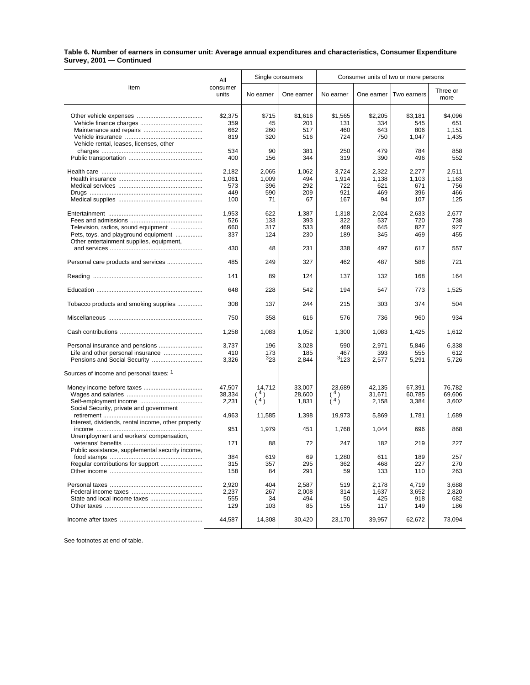## **Table 6. Number of earners in consumer unit: Average annual expenditures and characteristics, Consumer Expenditure Survey, 2001 — Continued**

| Item                                                                                                                    | All                                 | Single consumers                   |                                  | Consumer units of two or more persons |                                    |                                     |                                     |
|-------------------------------------------------------------------------------------------------------------------------|-------------------------------------|------------------------------------|----------------------------------|---------------------------------------|------------------------------------|-------------------------------------|-------------------------------------|
|                                                                                                                         | consumer<br>units                   | No earner                          | One earner                       | No earner                             | One earner                         | Two earners                         | Three or<br>more                    |
| Vehicle rental, leases, licenses, other                                                                                 | \$2,375<br>359<br>662<br>819        | \$715<br>45<br>260<br>320          | \$1,616<br>201<br>517<br>516     | \$1,565<br>131<br>460<br>724          | \$2,205<br>334<br>643<br>750       | \$3,181<br>545<br>806<br>1,047      | \$4,096<br>651<br>1,151<br>1,435    |
|                                                                                                                         | 534<br>400                          | 90<br>156                          | 381<br>344                       | 250<br>319                            | 479<br>390                         | 784<br>496                          | 858<br>552                          |
|                                                                                                                         | 2,182<br>1,061<br>573<br>449<br>100 | 2,065<br>1,009<br>396<br>590<br>71 | 1,062<br>494<br>292<br>209<br>67 | 3,724<br>1,914<br>722<br>921<br>167   | 2,322<br>1,138<br>621<br>469<br>94 | 2,277<br>1.103<br>671<br>396<br>107 | 2,511<br>1,163<br>756<br>466<br>125 |
| Television, radios, sound equipment<br>Pets, toys, and playground equipment<br>Other entertainment supplies, equipment, | 1,953<br>526<br>660<br>337          | 622<br>133<br>317<br>124           | 1,387<br>393<br>533<br>230       | 1,318<br>322<br>469<br>189            | 2,024<br>537<br>645<br>345         | 2,633<br>720<br>827<br>469          | 2,677<br>738<br>927<br>455          |
|                                                                                                                         | 430                                 | 48                                 | 231                              | 338                                   | 497                                | 617                                 | 557                                 |
| Personal care products and services                                                                                     | 485                                 | 249                                | 327                              | 462                                   | 487                                | 588                                 | 721                                 |
|                                                                                                                         | 141                                 | 89                                 | 124                              | 137                                   | 132                                | 168                                 | 164                                 |
|                                                                                                                         | 648                                 | 228                                | 542                              | 194                                   | 547                                | 773                                 | 1,525                               |
| Tobacco products and smoking supplies                                                                                   | 308                                 | 137                                | 244                              | 215                                   | 303                                | 374                                 | 504                                 |
|                                                                                                                         | 750                                 | 358                                | 616                              | 576                                   | 736                                | 960                                 | 934                                 |
|                                                                                                                         | 1,258                               | 1,083                              | 1,052                            | 1,300                                 | 1,083                              | 1,425                               | 1,612                               |
| Personal insurance and pensions                                                                                         | 3,737<br>410<br>3,326               | 196<br>173<br>323                  | 3,028<br>185<br>2,844            | 590<br>467<br>3123                    | 2,971<br>393<br>2,577              | 5,846<br>555<br>5,291               | 6,338<br>612<br>5,726               |
| Sources of income and personal taxes: 1                                                                                 |                                     |                                    |                                  |                                       |                                    |                                     |                                     |
| Social Security, private and government                                                                                 | 47,507<br>38,334<br>2,231           | 14,712<br>$\binom{4}{4}$           | 33,007<br>28,600<br>1,831        | 23,689<br>(4)                         | 42,135<br>31,671<br>2,158          | 67,391<br>60,785<br>3,384           | 76,782<br>69,606<br>3,602           |
|                                                                                                                         | 4.963                               | 11,585                             | 1,398                            | 19,973                                | 5,869                              | 1,781                               | 1,689                               |
| Interest, dividends, rental income, other property                                                                      | 951                                 | 1,979                              | 451                              | 1,768                                 | 1,044                              | 696                                 | 868                                 |
| Unemployment and workers' compensation,                                                                                 | 171                                 | 88                                 | 72                               | 247                                   | 182                                | 219                                 | 227                                 |
| Public assistance, supplemental security income,                                                                        | 384<br>315<br>158                   | 619<br>357<br>84                   | 69<br>295<br>291                 | 1,280<br>362<br>59                    | 611<br>468<br>133                  | 189<br>227<br>110                   | 257<br>270<br>263                   |
|                                                                                                                         | 2,920<br>2,237<br>555<br>129        | 404<br>267<br>34<br>103            | 2,587<br>2,008<br>494<br>85      | 519<br>314<br>50<br>155               | 2,178<br>1,637<br>425<br>117       | 4,719<br>3,652<br>918<br>149        | 3,688<br>2,820<br>682<br>186        |
|                                                                                                                         | 44,587                              | 14,308                             | 30,420                           | 23,170                                | 39,957                             | 62,672                              | 73,094                              |

See footnotes at end of table.